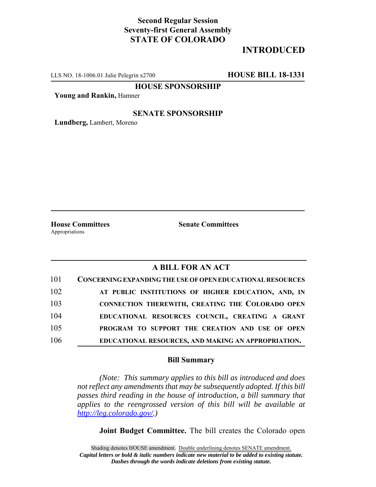# **Second Regular Session Seventy-first General Assembly STATE OF COLORADO**

# **INTRODUCED**

LLS NO. 18-1006.01 Julie Pelegrin x2700 **HOUSE BILL 18-1331**

**HOUSE SPONSORSHIP**

**Young and Rankin,** Hamner

## **SENATE SPONSORSHIP**

**Lundberg,** Lambert, Moreno

Appropriations

**House Committees Senate Committees**

## **A BILL FOR AN ACT**

| 101 | <b>CONCERNING EXPANDING THE USE OF OPEN EDUCATIONAL RESOURCES</b> |
|-----|-------------------------------------------------------------------|
| 102 | AT PUBLIC INSTITUTIONS OF HIGHER EDUCATION, AND, IN               |
| 103 | CONNECTION THEREWITH, CREATING THE COLORADO OPEN                  |
| 104 | EDUCATIONAL RESOURCES COUNCIL, CREATING A GRANT                   |
| 105 | PROGRAM TO SUPPORT THE CREATION AND USE OF OPEN                   |
| 106 | EDUCATIONAL RESOURCES, AND MAKING AN APPROPRIATION.               |

#### **Bill Summary**

*(Note: This summary applies to this bill as introduced and does not reflect any amendments that may be subsequently adopted. If this bill passes third reading in the house of introduction, a bill summary that applies to the reengrossed version of this bill will be available at http://leg.colorado.gov/.)*

**Joint Budget Committee.** The bill creates the Colorado open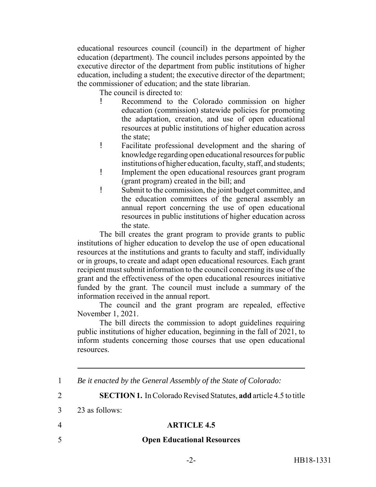educational resources council (council) in the department of higher education (department). The council includes persons appointed by the executive director of the department from public institutions of higher education, including a student; the executive director of the department; the commissioner of education; and the state librarian.

The council is directed to:

- ! Recommend to the Colorado commission on higher education (commission) statewide policies for promoting the adaptation, creation, and use of open educational resources at public institutions of higher education across the state;
- ! Facilitate professional development and the sharing of knowledge regarding open educational resources for public institutions of higher education, faculty, staff, and students;
- ! Implement the open educational resources grant program (grant program) created in the bill; and
- ! Submit to the commission, the joint budget committee, and the education committees of the general assembly an annual report concerning the use of open educational resources in public institutions of higher education across the state.

The bill creates the grant program to provide grants to public institutions of higher education to develop the use of open educational resources at the institutions and grants to faculty and staff, individually or in groups, to create and adapt open educational resources. Each grant recipient must submit information to the council concerning its use of the grant and the effectiveness of the open educational resources initiative funded by the grant. The council must include a summary of the information received in the annual report.

The council and the grant program are repealed, effective November 1, 2021.

The bill directs the commission to adopt guidelines requiring public institutions of higher education, beginning in the fall of 2021, to inform students concerning those courses that use open educational resources.

3 23 as follows:

## 4 **ARTICLE 4.5**

## 5 **Open Educational Resources**

<sup>1</sup> *Be it enacted by the General Assembly of the State of Colorado:*

<sup>2</sup> **SECTION 1.** In Colorado Revised Statutes, **add** article 4.5 to title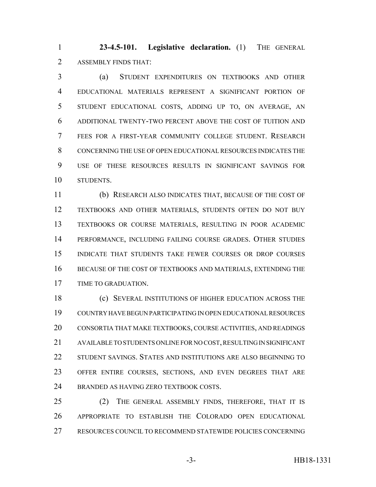**23-4.5-101. Legislative declaration.** (1) THE GENERAL ASSEMBLY FINDS THAT:

 (a) STUDENT EXPENDITURES ON TEXTBOOKS AND OTHER EDUCATIONAL MATERIALS REPRESENT A SIGNIFICANT PORTION OF STUDENT EDUCATIONAL COSTS, ADDING UP TO, ON AVERAGE, AN ADDITIONAL TWENTY-TWO PERCENT ABOVE THE COST OF TUITION AND FEES FOR A FIRST-YEAR COMMUNITY COLLEGE STUDENT. RESEARCH CONCERNING THE USE OF OPEN EDUCATIONAL RESOURCES INDICATES THE USE OF THESE RESOURCES RESULTS IN SIGNIFICANT SAVINGS FOR STUDENTS.

 (b) RESEARCH ALSO INDICATES THAT, BECAUSE OF THE COST OF TEXTBOOKS AND OTHER MATERIALS, STUDENTS OFTEN DO NOT BUY TEXTBOOKS OR COURSE MATERIALS, RESULTING IN POOR ACADEMIC PERFORMANCE, INCLUDING FAILING COURSE GRADES. OTHER STUDIES INDICATE THAT STUDENTS TAKE FEWER COURSES OR DROP COURSES BECAUSE OF THE COST OF TEXTBOOKS AND MATERIALS, EXTENDING THE TIME TO GRADUATION.

 (c) SEVERAL INSTITUTIONS OF HIGHER EDUCATION ACROSS THE COUNTRY HAVE BEGUN PARTICIPATING IN OPEN EDUCATIONAL RESOURCES CONSORTIA THAT MAKE TEXTBOOKS, COURSE ACTIVITIES, AND READINGS AVAILABLE TO STUDENTS ONLINE FOR NO COST, RESULTING IN SIGNIFICANT STUDENT SAVINGS. STATES AND INSTITUTIONS ARE ALSO BEGINNING TO OFFER ENTIRE COURSES, SECTIONS, AND EVEN DEGREES THAT ARE BRANDED AS HAVING ZERO TEXTBOOK COSTS.

25 (2) THE GENERAL ASSEMBLY FINDS, THEREFORE, THAT IT IS APPROPRIATE TO ESTABLISH THE COLORADO OPEN EDUCATIONAL RESOURCES COUNCIL TO RECOMMEND STATEWIDE POLICIES CONCERNING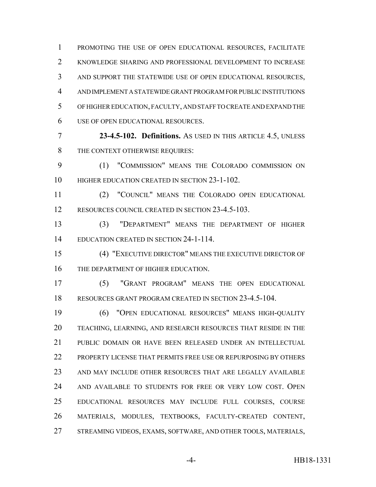PROMOTING THE USE OF OPEN EDUCATIONAL RESOURCES, FACILITATE KNOWLEDGE SHARING AND PROFESSIONAL DEVELOPMENT TO INCREASE AND SUPPORT THE STATEWIDE USE OF OPEN EDUCATIONAL RESOURCES, AND IMPLEMENT A STATEWIDE GRANT PROGRAM FOR PUBLIC INSTITUTIONS OF HIGHER EDUCATION, FACULTY, AND STAFF TO CREATE AND EXPAND THE USE OF OPEN EDUCATIONAL RESOURCES.

 **23-4.5-102. Definitions.** AS USED IN THIS ARTICLE 4.5, UNLESS 8 THE CONTEXT OTHERWISE REQUIRES:

 (1) "COMMISSION" MEANS THE COLORADO COMMISSION ON 10 HIGHER EDUCATION CREATED IN SECTION 23-1-102.

 (2) "COUNCIL" MEANS THE COLORADO OPEN EDUCATIONAL RESOURCES COUNCIL CREATED IN SECTION 23-4.5-103.

 (3) "DEPARTMENT" MEANS THE DEPARTMENT OF HIGHER EDUCATION CREATED IN SECTION 24-1-114.

 (4) "EXECUTIVE DIRECTOR" MEANS THE EXECUTIVE DIRECTOR OF 16 THE DEPARTMENT OF HIGHER EDUCATION.

 (5) "GRANT PROGRAM" MEANS THE OPEN EDUCATIONAL RESOURCES GRANT PROGRAM CREATED IN SECTION 23-4.5-104.

 (6) "OPEN EDUCATIONAL RESOURCES" MEANS HIGH-QUALITY TEACHING, LEARNING, AND RESEARCH RESOURCES THAT RESIDE IN THE PUBLIC DOMAIN OR HAVE BEEN RELEASED UNDER AN INTELLECTUAL PROPERTY LICENSE THAT PERMITS FREE USE OR REPURPOSING BY OTHERS AND MAY INCLUDE OTHER RESOURCES THAT ARE LEGALLY AVAILABLE AND AVAILABLE TO STUDENTS FOR FREE OR VERY LOW COST. OPEN EDUCATIONAL RESOURCES MAY INCLUDE FULL COURSES, COURSE MATERIALS, MODULES, TEXTBOOKS, FACULTY-CREATED CONTENT, STREAMING VIDEOS, EXAMS, SOFTWARE, AND OTHER TOOLS, MATERIALS,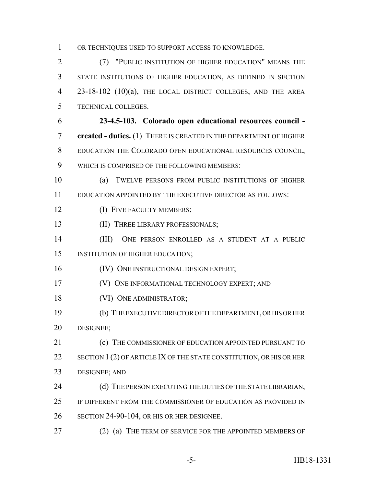OR TECHNIQUES USED TO SUPPORT ACCESS TO KNOWLEDGE.

 (7) "PUBLIC INSTITUTION OF HIGHER EDUCATION" MEANS THE STATE INSTITUTIONS OF HIGHER EDUCATION, AS DEFINED IN SECTION 4 23-18-102 (10)(a), THE LOCAL DISTRICT COLLEGES, AND THE AREA TECHNICAL COLLEGES.

 **23-4.5-103. Colorado open educational resources council - created - duties.** (1) THERE IS CREATED IN THE DEPARTMENT OF HIGHER EDUCATION THE COLORADO OPEN EDUCATIONAL RESOURCES COUNCIL, WHICH IS COMPRISED OF THE FOLLOWING MEMBERS:

 (a) TWELVE PERSONS FROM PUBLIC INSTITUTIONS OF HIGHER EDUCATION APPOINTED BY THE EXECUTIVE DIRECTOR AS FOLLOWS:

12 (I) FIVE FACULTY MEMBERS;

**(II) THREE LIBRARY PROFESSIONALS;** 

 (III) ONE PERSON ENROLLED AS A STUDENT AT A PUBLIC INSTITUTION OF HIGHER EDUCATION;

**(IV) ONE INSTRUCTIONAL DESIGN EXPERT;** 

(V) ONE INFORMATIONAL TECHNOLOGY EXPERT; AND

18 (VI) ONE ADMINISTRATOR;

 (b) THE EXECUTIVE DIRECTOR OF THE DEPARTMENT, OR HIS OR HER DESIGNEE;

**(c)** THE COMMISSIONER OF EDUCATION APPOINTED PURSUANT TO 22 SECTION 1 (2) OF ARTICLE IX OF THE STATE CONSTITUTION, OR HIS OR HER DESIGNEE; AND

24 (d) THE PERSON EXECUTING THE DUTIES OF THE STATE LIBRARIAN, IF DIFFERENT FROM THE COMMISSIONER OF EDUCATION AS PROVIDED IN

SECTION 24-90-104, OR HIS OR HER DESIGNEE.

27 (2) (a) THE TERM OF SERVICE FOR THE APPOINTED MEMBERS OF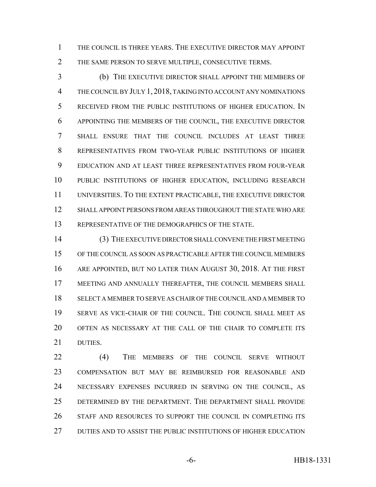THE COUNCIL IS THREE YEARS. THE EXECUTIVE DIRECTOR MAY APPOINT THE SAME PERSON TO SERVE MULTIPLE, CONSECUTIVE TERMS.

 (b) THE EXECUTIVE DIRECTOR SHALL APPOINT THE MEMBERS OF THE COUNCIL BY JULY 1, 2018, TAKING INTO ACCOUNT ANY NOMINATIONS RECEIVED FROM THE PUBLIC INSTITUTIONS OF HIGHER EDUCATION. IN APPOINTING THE MEMBERS OF THE COUNCIL, THE EXECUTIVE DIRECTOR SHALL ENSURE THAT THE COUNCIL INCLUDES AT LEAST THREE REPRESENTATIVES FROM TWO-YEAR PUBLIC INSTITUTIONS OF HIGHER EDUCATION AND AT LEAST THREE REPRESENTATIVES FROM FOUR-YEAR PUBLIC INSTITUTIONS OF HIGHER EDUCATION, INCLUDING RESEARCH UNIVERSITIES. TO THE EXTENT PRACTICABLE, THE EXECUTIVE DIRECTOR SHALL APPOINT PERSONS FROM AREAS THROUGHOUT THE STATE WHO ARE REPRESENTATIVE OF THE DEMOGRAPHICS OF THE STATE.

 (3) THE EXECUTIVE DIRECTOR SHALL CONVENE THE FIRST MEETING OF THE COUNCIL AS SOON AS PRACTICABLE AFTER THE COUNCIL MEMBERS ARE APPOINTED, BUT NO LATER THAN AUGUST 30, 2018. AT THE FIRST MEETING AND ANNUALLY THEREAFTER, THE COUNCIL MEMBERS SHALL SELECT A MEMBER TO SERVE AS CHAIR OF THE COUNCIL AND A MEMBER TO SERVE AS VICE-CHAIR OF THE COUNCIL. THE COUNCIL SHALL MEET AS OFTEN AS NECESSARY AT THE CALL OF THE CHAIR TO COMPLETE ITS DUTIES.

 (4) THE MEMBERS OF THE COUNCIL SERVE WITHOUT COMPENSATION BUT MAY BE REIMBURSED FOR REASONABLE AND NECESSARY EXPENSES INCURRED IN SERVING ON THE COUNCIL, AS DETERMINED BY THE DEPARTMENT. THE DEPARTMENT SHALL PROVIDE STAFF AND RESOURCES TO SUPPORT THE COUNCIL IN COMPLETING ITS DUTIES AND TO ASSIST THE PUBLIC INSTITUTIONS OF HIGHER EDUCATION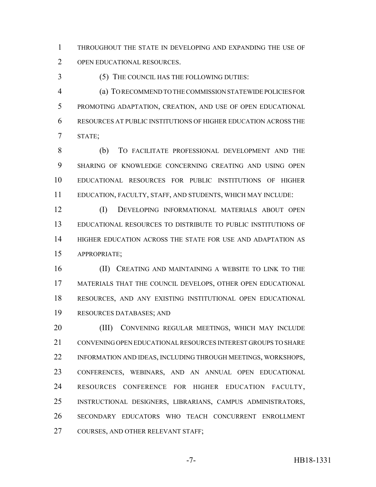THROUGHOUT THE STATE IN DEVELOPING AND EXPANDING THE USE OF OPEN EDUCATIONAL RESOURCES.

(5) THE COUNCIL HAS THE FOLLOWING DUTIES:

 (a) TO RECOMMEND TO THE COMMISSION STATEWIDE POLICIES FOR PROMOTING ADAPTATION, CREATION, AND USE OF OPEN EDUCATIONAL RESOURCES AT PUBLIC INSTITUTIONS OF HIGHER EDUCATION ACROSS THE STATE;

 (b) TO FACILITATE PROFESSIONAL DEVELOPMENT AND THE SHARING OF KNOWLEDGE CONCERNING CREATING AND USING OPEN EDUCATIONAL RESOURCES FOR PUBLIC INSTITUTIONS OF HIGHER EDUCATION, FACULTY, STAFF, AND STUDENTS, WHICH MAY INCLUDE:

 (I) DEVELOPING INFORMATIONAL MATERIALS ABOUT OPEN EDUCATIONAL RESOURCES TO DISTRIBUTE TO PUBLIC INSTITUTIONS OF HIGHER EDUCATION ACROSS THE STATE FOR USE AND ADAPTATION AS APPROPRIATE;

**(II) CREATING AND MAINTAINING A WEBSITE TO LINK TO THE**  MATERIALS THAT THE COUNCIL DEVELOPS, OTHER OPEN EDUCATIONAL RESOURCES, AND ANY EXISTING INSTITUTIONAL OPEN EDUCATIONAL RESOURCES DATABASES; AND

20 (III) CONVENING REGULAR MEETINGS, WHICH MAY INCLUDE CONVENING OPEN EDUCATIONAL RESOURCES INTEREST GROUPS TO SHARE INFORMATION AND IDEAS, INCLUDING THROUGH MEETINGS, WORKSHOPS, CONFERENCES, WEBINARS, AND AN ANNUAL OPEN EDUCATIONAL RESOURCES CONFERENCE FOR HIGHER EDUCATION FACULTY, INSTRUCTIONAL DESIGNERS, LIBRARIANS, CAMPUS ADMINISTRATORS, SECONDARY EDUCATORS WHO TEACH CONCURRENT ENROLLMENT 27 COURSES, AND OTHER RELEVANT STAFF;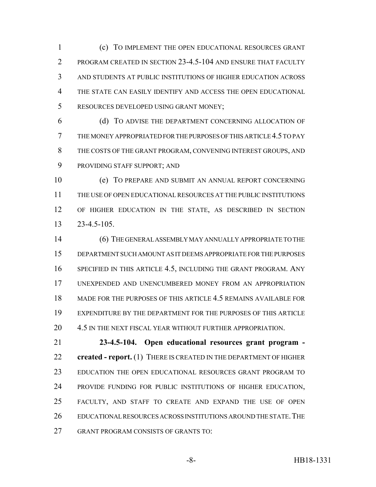(c) TO IMPLEMENT THE OPEN EDUCATIONAL RESOURCES GRANT PROGRAM CREATED IN SECTION 23-4.5-104 AND ENSURE THAT FACULTY AND STUDENTS AT PUBLIC INSTITUTIONS OF HIGHER EDUCATION ACROSS THE STATE CAN EASILY IDENTIFY AND ACCESS THE OPEN EDUCATIONAL RESOURCES DEVELOPED USING GRANT MONEY;

 (d) TO ADVISE THE DEPARTMENT CONCERNING ALLOCATION OF THE MONEY APPROPRIATED FOR THE PURPOSES OF THIS ARTICLE 4.5 TO PAY THE COSTS OF THE GRANT PROGRAM, CONVENING INTEREST GROUPS, AND PROVIDING STAFF SUPPORT; AND

 (e) TO PREPARE AND SUBMIT AN ANNUAL REPORT CONCERNING THE USE OF OPEN EDUCATIONAL RESOURCES AT THE PUBLIC INSTITUTIONS OF HIGHER EDUCATION IN THE STATE, AS DESCRIBED IN SECTION 23-4.5-105.

 (6) THE GENERAL ASSEMBLY MAY ANNUALLY APPROPRIATE TO THE DEPARTMENT SUCH AMOUNT AS IT DEEMS APPROPRIATE FOR THE PURPOSES SPECIFIED IN THIS ARTICLE 4.5, INCLUDING THE GRANT PROGRAM. ANY UNEXPENDED AND UNENCUMBERED MONEY FROM AN APPROPRIATION MADE FOR THE PURPOSES OF THIS ARTICLE 4.5 REMAINS AVAILABLE FOR EXPENDITURE BY THE DEPARTMENT FOR THE PURPOSES OF THIS ARTICLE 20 4.5 IN THE NEXT FISCAL YEAR WITHOUT FURTHER APPROPRIATION.

 **23-4.5-104. Open educational resources grant program - created - report.** (1) THERE IS CREATED IN THE DEPARTMENT OF HIGHER EDUCATION THE OPEN EDUCATIONAL RESOURCES GRANT PROGRAM TO PROVIDE FUNDING FOR PUBLIC INSTITUTIONS OF HIGHER EDUCATION, FACULTY, AND STAFF TO CREATE AND EXPAND THE USE OF OPEN EDUCATIONAL RESOURCES ACROSS INSTITUTIONS AROUND THE STATE.THE GRANT PROGRAM CONSISTS OF GRANTS TO: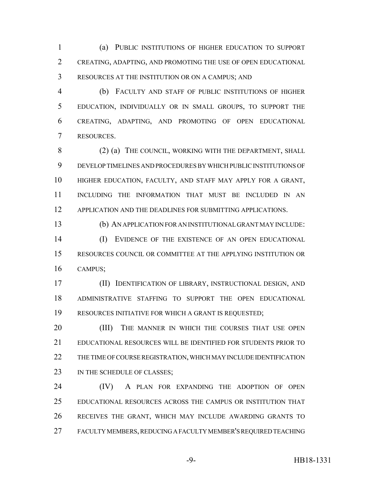(a) PUBLIC INSTITUTIONS OF HIGHER EDUCATION TO SUPPORT CREATING, ADAPTING, AND PROMOTING THE USE OF OPEN EDUCATIONAL RESOURCES AT THE INSTITUTION OR ON A CAMPUS; AND

 (b) FACULTY AND STAFF OF PUBLIC INSTITUTIONS OF HIGHER EDUCATION, INDIVIDUALLY OR IN SMALL GROUPS, TO SUPPORT THE CREATING, ADAPTING, AND PROMOTING OF OPEN EDUCATIONAL RESOURCES.

8 (2) (a) THE COUNCIL, WORKING WITH THE DEPARTMENT, SHALL DEVELOP TIMELINES AND PROCEDURES BY WHICH PUBLIC INSTITUTIONS OF HIGHER EDUCATION, FACULTY, AND STAFF MAY APPLY FOR A GRANT, INCLUDING THE INFORMATION THAT MUST BE INCLUDED IN AN APPLICATION AND THE DEADLINES FOR SUBMITTING APPLICATIONS.

(b) AN APPLICATION FOR AN INSTITUTIONAL GRANT MAY INCLUDE:

 (I) EVIDENCE OF THE EXISTENCE OF AN OPEN EDUCATIONAL RESOURCES COUNCIL OR COMMITTEE AT THE APPLYING INSTITUTION OR CAMPUS;

 (II) IDENTIFICATION OF LIBRARY, INSTRUCTIONAL DESIGN, AND ADMINISTRATIVE STAFFING TO SUPPORT THE OPEN EDUCATIONAL RESOURCES INITIATIVE FOR WHICH A GRANT IS REQUESTED;

20 (III) THE MANNER IN WHICH THE COURSES THAT USE OPEN EDUCATIONAL RESOURCES WILL BE IDENTIFIED FOR STUDENTS PRIOR TO THE TIME OF COURSE REGISTRATION, WHICH MAY INCLUDE IDENTIFICATION 23 IN THE SCHEDULE OF CLASSES;

24 (IV) A PLAN FOR EXPANDING THE ADOPTION OF OPEN EDUCATIONAL RESOURCES ACROSS THE CAMPUS OR INSTITUTION THAT RECEIVES THE GRANT, WHICH MAY INCLUDE AWARDING GRANTS TO FACULTY MEMBERS, REDUCING A FACULTY MEMBER'S REQUIRED TEACHING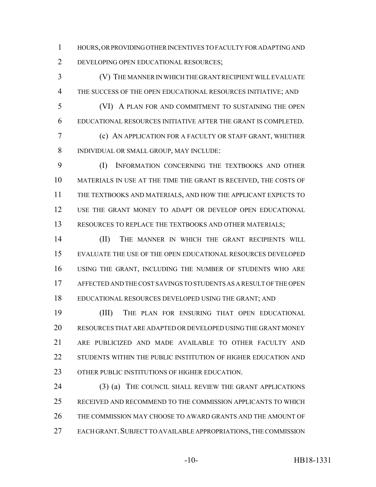HOURS, OR PROVIDING OTHER INCENTIVES TO FACULTY FOR ADAPTING AND DEVELOPING OPEN EDUCATIONAL RESOURCES;

 (V) THE MANNER IN WHICH THE GRANT RECIPIENT WILL EVALUATE THE SUCCESS OF THE OPEN EDUCATIONAL RESOURCES INITIATIVE; AND

 (VI) A PLAN FOR AND COMMITMENT TO SUSTAINING THE OPEN EDUCATIONAL RESOURCES INITIATIVE AFTER THE GRANT IS COMPLETED.

 (c) AN APPLICATION FOR A FACULTY OR STAFF GRANT, WHETHER INDIVIDUAL OR SMALL GROUP, MAY INCLUDE:

 (I) INFORMATION CONCERNING THE TEXTBOOKS AND OTHER MATERIALS IN USE AT THE TIME THE GRANT IS RECEIVED, THE COSTS OF THE TEXTBOOKS AND MATERIALS, AND HOW THE APPLICANT EXPECTS TO USE THE GRANT MONEY TO ADAPT OR DEVELOP OPEN EDUCATIONAL 13 RESOURCES TO REPLACE THE TEXTBOOKS AND OTHER MATERIALS;

 (II) THE MANNER IN WHICH THE GRANT RECIPIENTS WILL EVALUATE THE USE OF THE OPEN EDUCATIONAL RESOURCES DEVELOPED USING THE GRANT, INCLUDING THE NUMBER OF STUDENTS WHO ARE AFFECTED AND THE COST SAVINGS TO STUDENTS AS A RESULT OF THE OPEN EDUCATIONAL RESOURCES DEVELOPED USING THE GRANT; AND

 (III) THE PLAN FOR ENSURING THAT OPEN EDUCATIONAL RESOURCES THAT ARE ADAPTED OR DEVELOPED USING THE GRANT MONEY ARE PUBLICIZED AND MADE AVAILABLE TO OTHER FACULTY AND STUDENTS WITHIN THE PUBLIC INSTITUTION OF HIGHER EDUCATION AND 23 OTHER PUBLIC INSTITUTIONS OF HIGHER EDUCATION.

 (3) (a) THE COUNCIL SHALL REVIEW THE GRANT APPLICATIONS RECEIVED AND RECOMMEND TO THE COMMISSION APPLICANTS TO WHICH THE COMMISSION MAY CHOOSE TO AWARD GRANTS AND THE AMOUNT OF 27 EACH GRANT. SUBJECT TO AVAILABLE APPROPRIATIONS, THE COMMISSION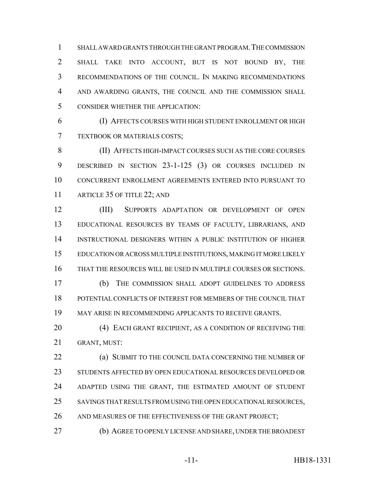SHALL AWARD GRANTS THROUGH THE GRANT PROGRAM.THE COMMISSION SHALL TAKE INTO ACCOUNT, BUT IS NOT BOUND BY, THE RECOMMENDATIONS OF THE COUNCIL. IN MAKING RECOMMENDATIONS AND AWARDING GRANTS, THE COUNCIL AND THE COMMISSION SHALL CONSIDER WHETHER THE APPLICATION:

 (I) AFFECTS COURSES WITH HIGH STUDENT ENROLLMENT OR HIGH TEXTBOOK OR MATERIALS COSTS;

 (II) AFFECTS HIGH-IMPACT COURSES SUCH AS THE CORE COURSES DESCRIBED IN SECTION 23-1-125 (3) OR COURSES INCLUDED IN CONCURRENT ENROLLMENT AGREEMENTS ENTERED INTO PURSUANT TO 11 ARTICLE 35 OF TITLE 22; AND

 (III) SUPPORTS ADAPTATION OR DEVELOPMENT OF OPEN EDUCATIONAL RESOURCES BY TEAMS OF FACULTY, LIBRARIANS, AND INSTRUCTIONAL DESIGNERS WITHIN A PUBLIC INSTITUTION OF HIGHER EDUCATION OR ACROSS MULTIPLE INSTITUTIONS, MAKING IT MORE LIKELY THAT THE RESOURCES WILL BE USED IN MULTIPLE COURSES OR SECTIONS.

 (b) THE COMMISSION SHALL ADOPT GUIDELINES TO ADDRESS POTENTIAL CONFLICTS OF INTEREST FOR MEMBERS OF THE COUNCIL THAT MAY ARISE IN RECOMMENDING APPLICANTS TO RECEIVE GRANTS.

20 (4) EACH GRANT RECIPIENT, AS A CONDITION OF RECEIVING THE GRANT, MUST:

**(a) SUBMIT TO THE COUNCIL DATA CONCERNING THE NUMBER OF**  STUDENTS AFFECTED BY OPEN EDUCATIONAL RESOURCES DEVELOPED OR ADAPTED USING THE GRANT, THE ESTIMATED AMOUNT OF STUDENT SAVINGS THAT RESULTS FROM USING THE OPEN EDUCATIONAL RESOURCES, 26 AND MEASURES OF THE EFFECTIVENESS OF THE GRANT PROJECT;

(b) AGREE TO OPENLY LICENSE AND SHARE, UNDER THE BROADEST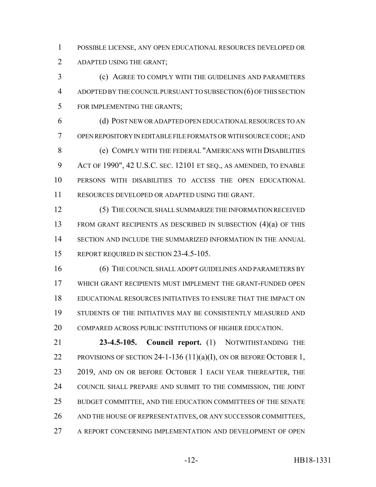POSSIBLE LICENSE, ANY OPEN EDUCATIONAL RESOURCES DEVELOPED OR ADAPTED USING THE GRANT;

 (c) AGREE TO COMPLY WITH THE GUIDELINES AND PARAMETERS ADOPTED BY THE COUNCIL PURSUANT TO SUBSECTION (6) OF THIS SECTION FOR IMPLEMENTING THE GRANTS;

 (d) POST NEW OR ADAPTED OPEN EDUCATIONAL RESOURCES TO AN OPEN REPOSITORY IN EDITABLE FILE FORMATS OR WITH SOURCE CODE; AND (e) COMPLY WITH THE FEDERAL "AMERICANS WITH DISABILITIES ACT OF 1990", 42 U.S.C. SEC. 12101 ET SEQ., AS AMENDED, TO ENABLE PERSONS WITH DISABILITIES TO ACCESS THE OPEN EDUCATIONAL RESOURCES DEVELOPED OR ADAPTED USING THE GRANT.

 (5) THE COUNCIL SHALL SUMMARIZE THE INFORMATION RECEIVED FROM GRANT RECIPIENTS AS DESCRIBED IN SUBSECTION (4)(a) OF THIS SECTION AND INCLUDE THE SUMMARIZED INFORMATION IN THE ANNUAL 15 REPORT REQUIRED IN SECTION 23-4.5-105.

16 (6) THE COUNCIL SHALL ADOPT GUIDELINES AND PARAMETERS BY WHICH GRANT RECIPIENTS MUST IMPLEMENT THE GRANT-FUNDED OPEN EDUCATIONAL RESOURCES INITIATIVES TO ENSURE THAT THE IMPACT ON STUDENTS OF THE INITIATIVES MAY BE CONSISTENTLY MEASURED AND 20 COMPARED ACROSS PUBLIC INSTITUTIONS OF HIGHER EDUCATION.

 **23-4.5-105. Council report.** (1) NOTWITHSTANDING THE 22 PROVISIONS OF SECTION 24-1-136  $(11)(a)(I)$ , ON OR BEFORE OCTOBER 1, 23 2019, AND ON OR BEFORE OCTOBER 1 EACH YEAR THEREAFTER, THE COUNCIL SHALL PREPARE AND SUBMIT TO THE COMMISSION, THE JOINT BUDGET COMMITTEE, AND THE EDUCATION COMMITTEES OF THE SENATE AND THE HOUSE OF REPRESENTATIVES, OR ANY SUCCESSOR COMMITTEES, A REPORT CONCERNING IMPLEMENTATION AND DEVELOPMENT OF OPEN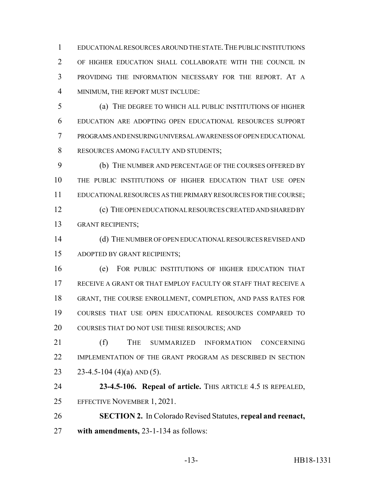EDUCATIONAL RESOURCES AROUND THE STATE.THE PUBLIC INSTITUTIONS OF HIGHER EDUCATION SHALL COLLABORATE WITH THE COUNCIL IN PROVIDING THE INFORMATION NECESSARY FOR THE REPORT. AT A MINIMUM, THE REPORT MUST INCLUDE:

 (a) THE DEGREE TO WHICH ALL PUBLIC INSTITUTIONS OF HIGHER EDUCATION ARE ADOPTING OPEN EDUCATIONAL RESOURCES SUPPORT PROGRAMS AND ENSURING UNIVERSAL AWARENESS OF OPEN EDUCATIONAL RESOURCES AMONG FACULTY AND STUDENTS;

 (b) THE NUMBER AND PERCENTAGE OF THE COURSES OFFERED BY THE PUBLIC INSTITUTIONS OF HIGHER EDUCATION THAT USE OPEN EDUCATIONAL RESOURCES AS THE PRIMARY RESOURCES FOR THE COURSE; (c) THE OPEN EDUCATIONAL RESOURCES CREATED AND SHARED BY GRANT RECIPIENTS;

 (d) THE NUMBER OF OPEN EDUCATIONAL RESOURCES REVISED AND ADOPTED BY GRANT RECIPIENTS;

 (e) FOR PUBLIC INSTITUTIONS OF HIGHER EDUCATION THAT RECEIVE A GRANT OR THAT EMPLOY FACULTY OR STAFF THAT RECEIVE A GRANT, THE COURSE ENROLLMENT, COMPLETION, AND PASS RATES FOR COURSES THAT USE OPEN EDUCATIONAL RESOURCES COMPARED TO COURSES THAT DO NOT USE THESE RESOURCES; AND

 (f) THE SUMMARIZED INFORMATION CONCERNING IMPLEMENTATION OF THE GRANT PROGRAM AS DESCRIBED IN SECTION 23 23-4.5-104 (4)(a) AND (5).

 **23-4.5-106. Repeal of article.** THIS ARTICLE 4.5 IS REPEALED, EFFECTIVE NOVEMBER 1, 2021.

 **SECTION 2.** In Colorado Revised Statutes, **repeal and reenact, with amendments,** 23-1-134 as follows: